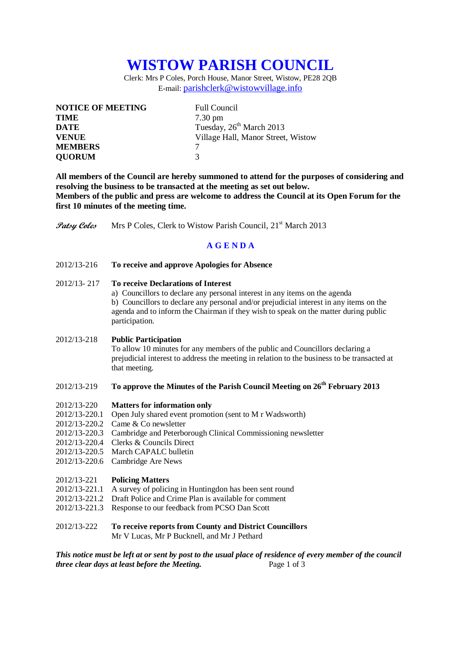# **WISTOW PARISH COUNCIL**

Clerk: Mrs P Coles, Porch House, Manor Street, Wistow, PE28 2QB E-mail: [parishclerk@wistowvillage.info](mailto:parishclerk@wistowvillage.info)

| <b>NOTICE OF MEETING</b> | <b>Full Council</b>                  |
|--------------------------|--------------------------------------|
| <b>TIME</b>              | $7.30 \text{ pm}$                    |
| <b>DATE</b>              | Tuesday, 26 <sup>th</sup> March 2013 |
| <b>VENUE</b>             | Village Hall, Manor Street, Wistow   |
| <b>MEMBERS</b>           |                                      |
| <b>QUORUM</b>            | 3                                    |

**All members of the Council are hereby summoned to attend for the purposes of considering and resolving the business to be transacted at the meeting as set out below. Members of the public and press are welcome to address the Council at its Open Forum for the first 10 minutes of the meeting time.**

**Patsy Coles** Mrs P Coles, Clerk to Wistow Parish Council, 21<sup>st</sup> March 2013

# **A G E N D A**

2012/13-216 **To receive and approve Apologies for Absence**

## 2012/13- 217 **To receive Declarations of Interest**

a) Councillors to declare any personal interest in any items on the agenda b) Councillors to declare any personal and/or prejudicial interest in any items on the agenda and to inform the Chairman if they wish to speak on the matter during public participation.

#### 2012/13-218 **Public Participation**

To allow 10 minutes for any members of the public and Councillors declaring a prejudicial interest to address the meeting in relation to the business to be transacted at that meeting.

# 2012/13-219 **To approve the Minutes of the Parish Council Meeting on 26th February 2013**

- 2012/13-220 **Matters for information only**
- 2012/13-220.1 Open July shared event promotion (sent to M r Wadsworth)
- 2012/13-220.2 Came & Co newsletter
- 2012/13-220.3 Cambridge and Peterborough Clinical Commissioning newsletter
- 2012/13-220.4 Clerks & Councils Direct
- 2012/13-220.5 March CAPALC bulletin
- 2012/13-220.6 Cambridge Are News

#### 2012/13-221 **Policing Matters**

- 2012/13-221.1 A survey of policing in Huntingdon has been sent round
- 2012/13-221.2 Draft Police and Crime Plan is available for comment
- 2012/13-221.3 Response to our feedback from PCSO Dan Scott

## 2012/13-222 **To receive reports from County and District Councillors** Mr V Lucas, Mr P Bucknell, and Mr J Pethard

*This notice must be left at or sent by post to the usual place of residence of every member of the council three clear days at least before the Meeting.* Page 1 of 3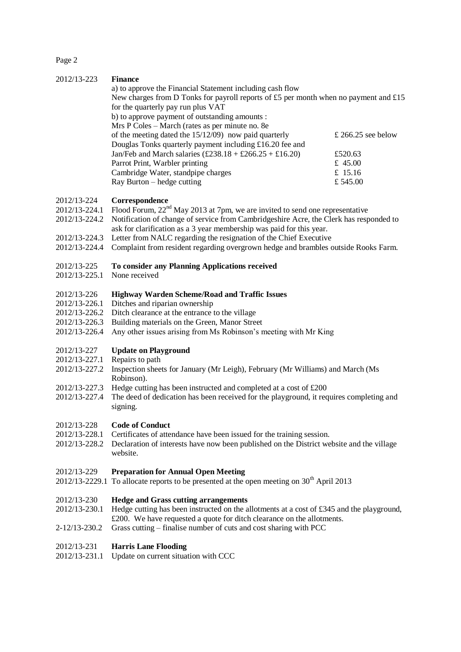Page 2

## 2012/13-223 **Finance**

| a) to approve the Financial Statement including cash flow                                        |                    |
|--------------------------------------------------------------------------------------------------|--------------------|
| New charges from D Tonks for payroll reports of £5 per month when no payment and £15             |                    |
| for the quarterly pay run plus VAT                                                               |                    |
| b) to approve payment of outstanding amounts :                                                   |                    |
| Mrs P Coles – March (rates as per minute no. 8e                                                  |                    |
| of the meeting dated the $15/12/09$ now paid quarterly                                           | £ 266.25 see below |
| Douglas Tonks quarterly payment including £16.20 fee and                                         |                    |
| Jan/Feb and March salaries $(\text{\pounds}238.18 + \text{\pounds}266.25 + \text{\pounds}16.20)$ | £520.63            |
| Parrot Print, Warbler printing                                                                   | £ 45.00            |
| Cambridge Water, standpipe charges                                                               | £ 15.16            |
| Ray Burton – hedge cutting                                                                       | £545.00            |

#### 2012/13-224 **Correspondence**

- 2012/13-224.1 Flood Forum,  $22<sup>nd</sup>$  May 2013 at 7pm, we are invited to send one representative
- 2012/13-224.2 Notification of change of service from Cambridgeshire Acre, the Clerk has responded to ask for clarification as a 3 year membership was paid for this year.
- 2012/13-224.3 Letter from NALC regarding the resignation of the Chief Executive
- 2012/13-224.4 Complaint from resident regarding overgrown hedge and brambles outside Rooks Farm.

# 2012/13-225 **To consider any Planning Applications received**

2012/13-225.1 None received

## 2012/13-226 **Highway Warden Scheme/Road and Traffic Issues**

- 2012/13-226.1 Ditches and riparian ownership
- 2012/13-226.2 Ditch clearance at the entrance to the village
- 2012/13-226.3 Building materials on the Green, Manor Street
- 2012/13-226.4 Any other issues arising from Ms Robinson's meeting with Mr King

## 2012/13-227 **Update on Playground**

- 2012/13-227.1 Repairs to path
- 2012/13-227.2 Inspection sheets for January (Mr Leigh), February (Mr Williams) and March (Ms Robinson).
- $2012/13-227.3$  Hedge cutting has been instructed and completed at a cost of £200<br> $2012/13-227.4$  The deed of dedication has been received for the playeround, it req
- The deed of dedication has been received for the playground, it requires completing and signing.

#### 2012/13-228 **Code of Conduct**

- 2012/13-228.1 Certificates of attendance have been issued for the training session.
- 2012/13-228.2 Declaration of interests have now been published on the District website and the village website.

#### 2012/13-229 **Preparation for Annual Open Meeting**

2012/13-2229.1 To allocate reports to be presented at the open meeting on  $30<sup>th</sup>$  April 2013

#### 2012/13-230 **Hedge and Grass cutting arrangements**

- 2012/13-230.1 Hedge cutting has been instructed on the allotments at a cost of £345 and the playground, £200. We have requested a quote for ditch clearance on the allotments.
- 2-12/13-230.2 Grass cutting finalise number of cuts and cost sharing with PCC

#### 2012/13-231 **Harris Lane Flooding**

2012/13-231.1 Update on current situation with CCC